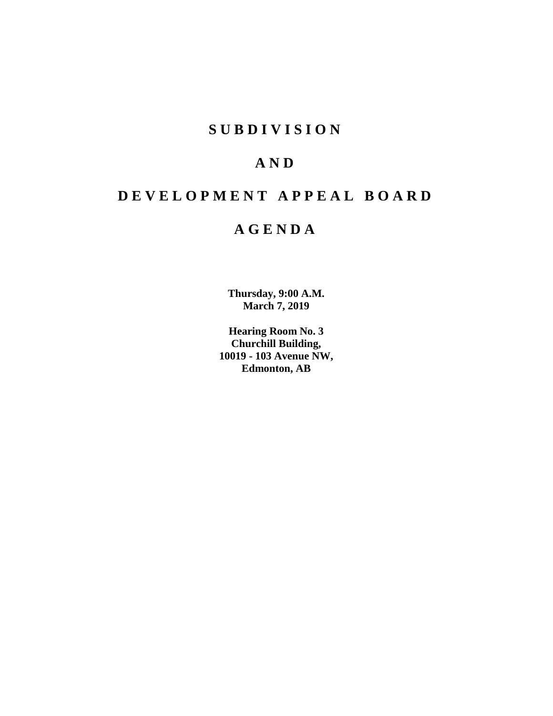# **SUBDIVISION**

# **AND**

# **DEVELOPMENT APPEAL BOARD**

# **AGENDA**

**Thursday, 9:00 A.M. March 7, 2019**

**Hearing Room No. 3 Churchill Building, 10019 - 103 Avenue NW, Edmonton, AB**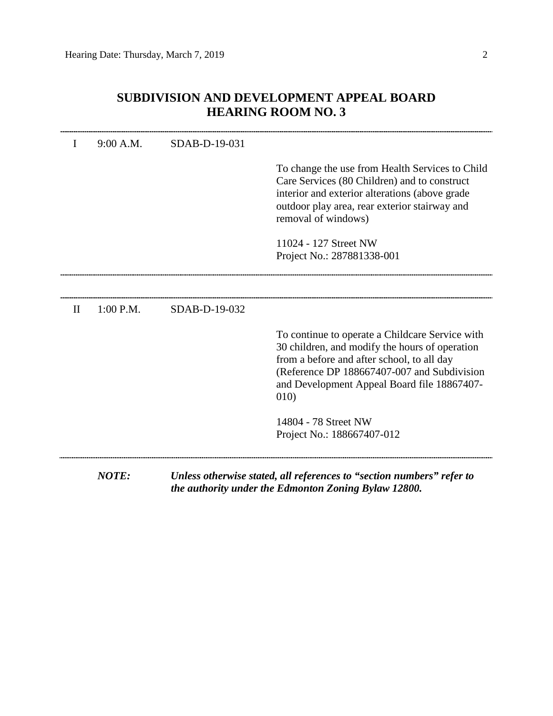| I            | 9:00 A.M.    | SDAB-D-19-031 |                                                                                                                                                                                                                                                       |
|--------------|--------------|---------------|-------------------------------------------------------------------------------------------------------------------------------------------------------------------------------------------------------------------------------------------------------|
|              |              |               | To change the use from Health Services to Child<br>Care Services (80 Children) and to construct<br>interior and exterior alterations (above grade<br>outdoor play area, rear exterior stairway and<br>removal of windows)                             |
|              |              |               | 11024 - 127 Street NW<br>Project No.: 287881338-001                                                                                                                                                                                                   |
|              |              |               |                                                                                                                                                                                                                                                       |
| $\mathbf{I}$ | $1:00$ P.M.  | SDAB-D-19-032 |                                                                                                                                                                                                                                                       |
|              |              |               | To continue to operate a Childcare Service with<br>30 children, and modify the hours of operation<br>from a before and after school, to all day<br>(Reference DP 188667407-007 and Subdivision<br>and Development Appeal Board file 18867407-<br>010) |
|              |              |               | 14804 - 78 Street NW<br>Project No.: 188667407-012                                                                                                                                                                                                    |
|              | <b>NOTE:</b> |               | Unless otherwise stated, all references to "section numbers" refer to<br>the authority under the Edmonton Zoning Bylaw 12800.                                                                                                                         |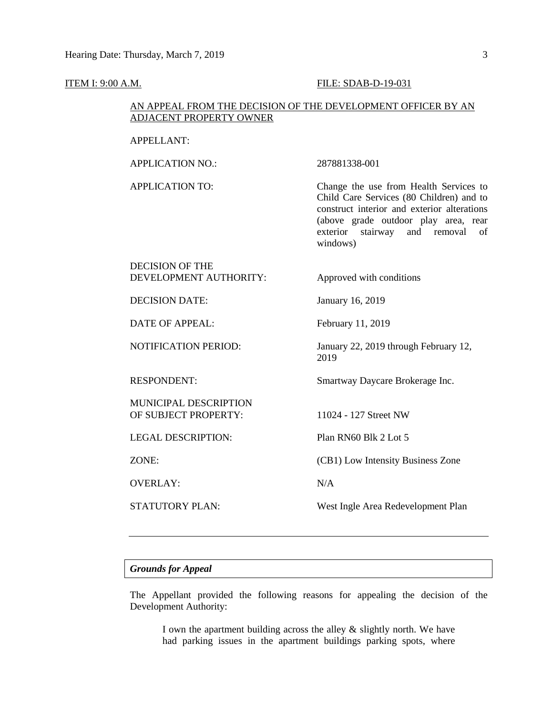#### **ITEM I: 9:00 A.M. FILE: SDAB-D-19-031**

### AN APPEAL FROM THE DECISION OF THE DEVELOPMENT OFFICER BY AN ADJACENT PROPERTY OWNER

#### APPELLANT:

APPLICATION NO.: 287881338-001

## APPLICATION TO: Change the use from Health Services to Child Care Services (80 Children) and to construct interior and exterior alterations (above grade outdoor play area, rear exterior stairway and removal of windows)

# DECISION OF THE DEVELOPMENT AUTHORITY: Approved with conditions

DATE OF APPEAL: February 11, 2019

MUNICIPAL DESCRIPTION OF SUBJECT PROPERTY: 11024 - 127 Street NW

LEGAL DESCRIPTION: Plan RN60 Blk 2 Lot 5

OVERLAY: N/A

DECISION DATE: January 16, 2019

NOTIFICATION PERIOD: January 22, 2019 through February 12, 2019

RESPONDENT: Smartway Daycare Brokerage Inc.

ZONE: (CB1) Low Intensity Business Zone

STATUTORY PLAN: West Ingle Area Redevelopment Plan

#### *Grounds for Appeal*

The Appellant provided the following reasons for appealing the decision of the Development Authority:

I own the apartment building across the alley & slightly north. We have had parking issues in the apartment buildings parking spots, where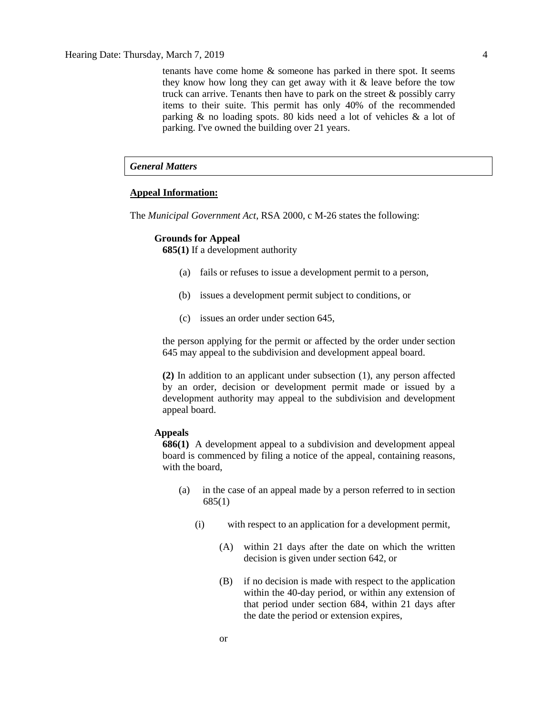tenants have come home & someone has parked in there spot. It seems they know how long they can get away with it & leave before the tow truck can arrive. Tenants then have to park on the street & possibly carry items to their suite. This permit has only 40% of the recommended parking & no loading spots. 80 kids need a lot of vehicles & a lot of parking. I've owned the building over 21 years.

## *General Matters*

#### **Appeal Information:**

The *Municipal Government Act*, RSA 2000, c M-26 states the following:

#### **Grounds for Appeal**

**685(1)** If a development authority

- (a) fails or refuses to issue a development permit to a person,
- (b) issues a development permit subject to conditions, or
- (c) issues an order under section 645,

the person applying for the permit or affected by the order under section 645 may appeal to the subdivision and development appeal board.

**(2)** In addition to an applicant under subsection (1), any person affected by an order, decision or development permit made or issued by a development authority may appeal to the subdivision and development appeal board.

#### **Appeals**

**686(1)** A development appeal to a subdivision and development appeal board is commenced by filing a notice of the appeal, containing reasons, with the board,

- (a) in the case of an appeal made by a person referred to in section 685(1)
	- (i) with respect to an application for a development permit,
		- (A) within 21 days after the date on which the written decision is given under section 642, or
		- (B) if no decision is made with respect to the application within the 40-day period, or within any extension of that period under section 684, within 21 days after the date the period or extension expires,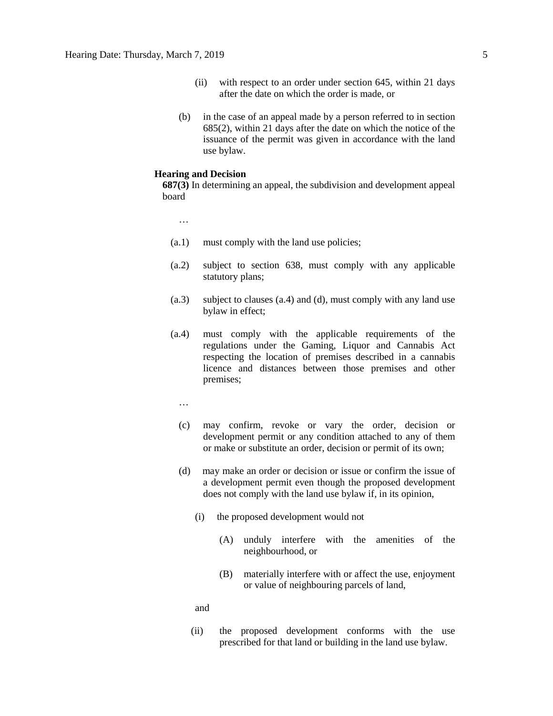- (ii) with respect to an order under section 645, within 21 days after the date on which the order is made, or
- (b) in the case of an appeal made by a person referred to in section 685(2), within 21 days after the date on which the notice of the issuance of the permit was given in accordance with the land use bylaw.

#### **Hearing and Decision**

**687(3)** In determining an appeal, the subdivision and development appeal board

…

- (a.1) must comply with the land use policies;
- (a.2) subject to section 638, must comply with any applicable statutory plans;
- (a.3) subject to clauses (a.4) and (d), must comply with any land use bylaw in effect;
- (a.4) must comply with the applicable requirements of the regulations under the Gaming, Liquor and Cannabis Act respecting the location of premises described in a cannabis licence and distances between those premises and other premises;
	- …
	- (c) may confirm, revoke or vary the order, decision or development permit or any condition attached to any of them or make or substitute an order, decision or permit of its own;
	- (d) may make an order or decision or issue or confirm the issue of a development permit even though the proposed development does not comply with the land use bylaw if, in its opinion,
		- (i) the proposed development would not
			- (A) unduly interfere with the amenities of the neighbourhood, or
			- (B) materially interfere with or affect the use, enjoyment or value of neighbouring parcels of land,

and

(ii) the proposed development conforms with the use prescribed for that land or building in the land use bylaw.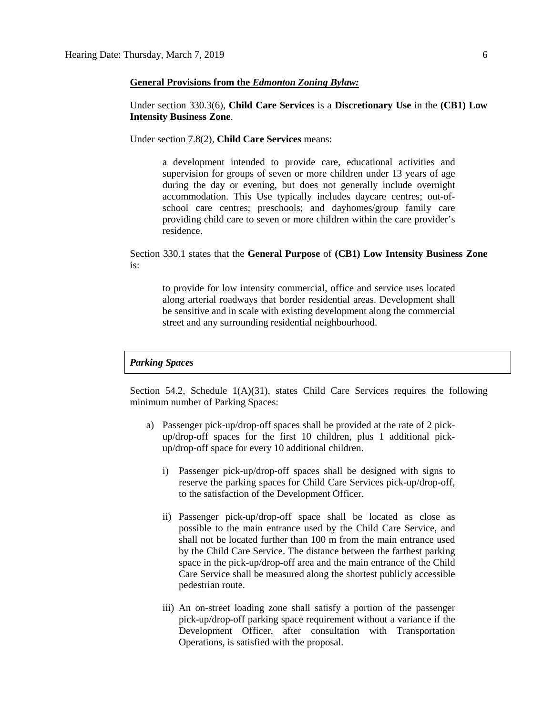#### **General Provisions from the** *Edmonton Zoning Bylaw:*

Under section 330.3(6), **Child Care Services** is a **Discretionary Use** in the **(CB1) Low Intensity Business Zone**.

Under section 7.8(2), **Child Care Services** means:

a development intended to provide care, educational activities and supervision for groups of seven or more children under 13 years of age during the day or evening, but does not generally include overnight accommodation. This Use typically includes daycare centres; out-ofschool care centres; preschools; and dayhomes/group family care providing child care to seven or more children within the care provider's residence.

Section 330.1 states that the **General Purpose** of **(CB1) Low Intensity Business Zone**  is:

to provide for low intensity commercial, office and service uses located along arterial roadways that border residential areas. Development shall be sensitive and in scale with existing development along the commercial street and any surrounding residential neighbourhood.

#### *Parking Spaces*

Section 54.2, Schedule  $1(A)(31)$ , states Child Care Services requires the following minimum number of Parking Spaces:

- a) Passenger pick-up/drop-off spaces shall be provided at the rate of 2 pickup/drop-off spaces for the first 10 children, plus 1 additional pickup/drop-off space for every 10 additional children.
	- i) Passenger pick-up/drop-off spaces shall be designed with signs to reserve the parking spaces for Child Care Services pick-up/drop-off, to the satisfaction of the Development Officer.
	- ii) Passenger pick-up/drop-off space shall be located as close as possible to the main entrance used by the Child Care Service, and shall not be located further than 100 m from the main entrance used by the Child Care Service. The distance between the farthest parking space in the pick-up/drop-off area and the main entrance of the Child Care Service shall be measured along the shortest publicly accessible pedestrian route.
	- iii) An on-street loading zone shall satisfy a portion of the passenger pick-up/drop-off parking space requirement without a variance if the Development Officer, after consultation with Transportation Operations, is satisfied with the proposal.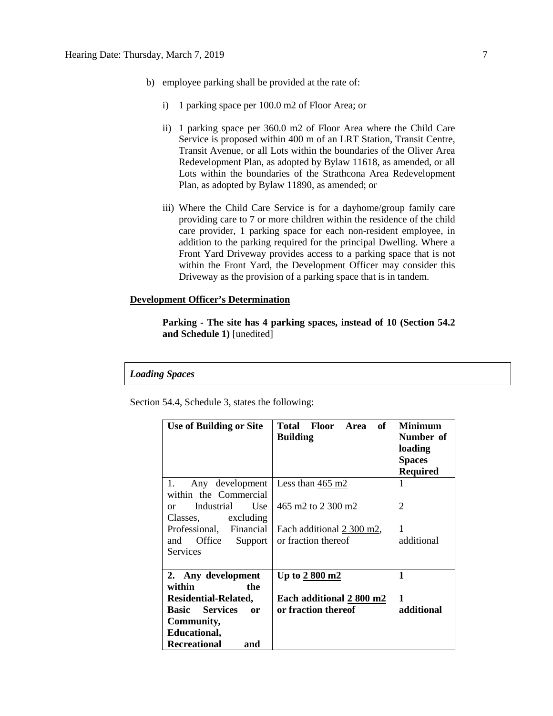- b) employee parking shall be provided at the rate of:
	- i) 1 parking space per 100.0 m2 of Floor Area; or
	- ii) 1 parking space per 360.0 m2 of Floor Area where the Child Care Service is proposed within 400 m of an LRT Station, Transit Centre, Transit Avenue, or all Lots within the boundaries of the Oliver Area Redevelopment Plan, as adopted by Bylaw 11618, as amended, or all Lots within the boundaries of the Strathcona Area Redevelopment Plan, as adopted by Bylaw 11890, as amended; or
	- iii) Where the Child Care Service is for a dayhome/group family care providing care to 7 or more children within the residence of the child care provider, 1 parking space for each non-resident employee, in addition to the parking required for the principal Dwelling. Where a Front Yard Driveway provides access to a parking space that is not within the Front Yard, the Development Officer may consider this Driveway as the provision of a parking space that is in tandem.

#### **Development Officer's Determination**

**Parking - The site has 4 parking spaces, instead of 10 (Section 54.2 and Schedule 1)** [unedited]

#### *Loading Spaces*

Section 54.4, Schedule 3, states the following:

| <b>Use of Building or Site</b>                           | of<br>Total Floor<br>Area<br><b>Building</b>              | <b>Minimum</b><br>Number of<br>loading<br><b>Spaces</b><br><b>Required</b> |
|----------------------------------------------------------|-----------------------------------------------------------|----------------------------------------------------------------------------|
| 1.<br>Any development<br>within the Commercial           | Less than $465 \text{ m2}$                                |                                                                            |
| Industrial<br>Use<br><sub>or</sub><br>Classes, excluding | $\frac{465 \text{ m2}}{2}$ to $\frac{2300 \text{ m2}}{2}$ | 2                                                                          |
| Professional, Financial                                  | Each additional 2 300 m2,                                 | 1                                                                          |
| Office Support<br>and<br><b>Services</b>                 | or fraction thereof                                       | additional                                                                 |
| 2. Any development                                       | Up to $2800 \text{ m}$                                    | 1                                                                          |
| within<br>the                                            |                                                           |                                                                            |
| <b>Residential-Related,</b>                              | Each additional 2 800 m2                                  | $\mathbf{1}$                                                               |
| <b>Basic</b> Services<br>0r                              | or fraction thereof                                       | additional                                                                 |
| Community,                                               |                                                           |                                                                            |
| Educational,                                             |                                                           |                                                                            |
| <b>Recreational</b><br>and                               |                                                           |                                                                            |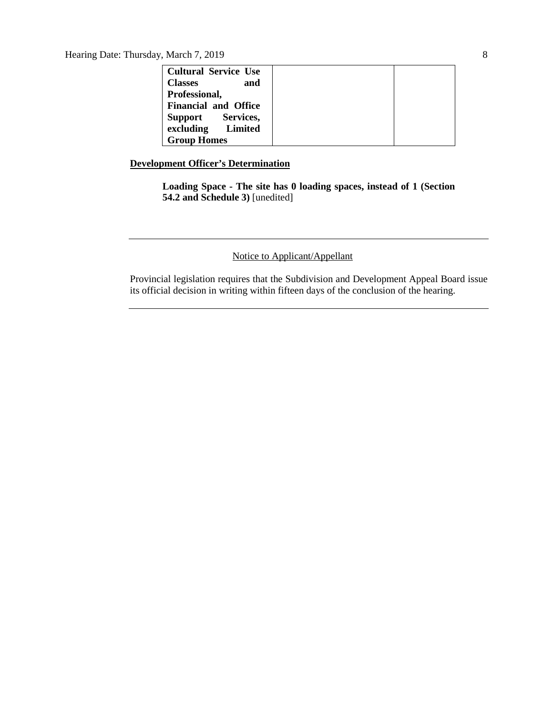Hearing Date: Thursday, March 7, 2019 8

| <b>Cultural Service Use</b> |  |
|-----------------------------|--|
| <b>Classes</b><br>and       |  |
| Professional,               |  |
| <b>Financial and Office</b> |  |
| Support Services,           |  |
| excluding Limited           |  |
| <b>Group Homes</b>          |  |

## **Development Officer's Determination**

**Loading Space - The site has 0 loading spaces, instead of 1 (Section 54.2 and Schedule 3)** [unedited]

## Notice to Applicant/Appellant

Provincial legislation requires that the Subdivision and Development Appeal Board issue its official decision in writing within fifteen days of the conclusion of the hearing.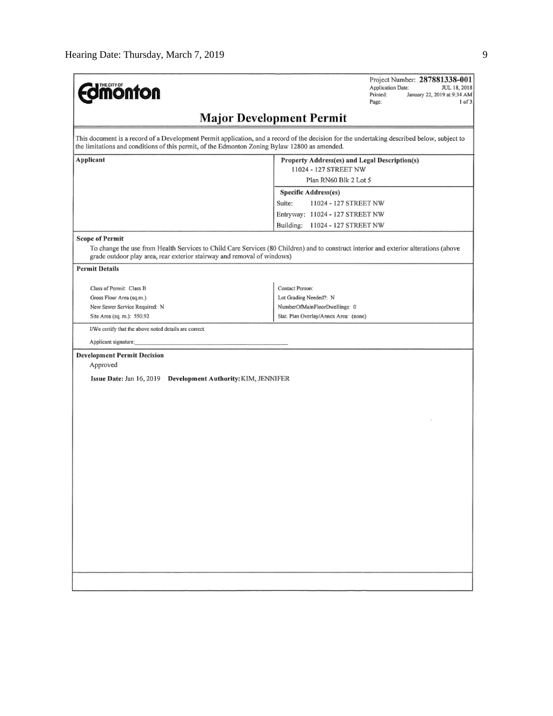| <b>mönton</b>                                                                                     | Project Number: 287881338-001<br>Application Date:<br>JUL 18, 2018<br>Printed:<br>January 22, 2019 at 9:34 AM<br>1 of 3<br>Page:            |  |  |  |  |  |  |
|---------------------------------------------------------------------------------------------------|---------------------------------------------------------------------------------------------------------------------------------------------|--|--|--|--|--|--|
| <b>Major Development Permit</b>                                                                   |                                                                                                                                             |  |  |  |  |  |  |
| the limitations and conditions of this permit, of the Edmonton Zoning Bylaw 12800 as amended.     | This document is a record of a Development Permit application, and a record of the decision for the undertaking described below, subject to |  |  |  |  |  |  |
| Applicant                                                                                         | Property Address(es) and Legal Description(s)<br>11024 - 127 STREET NW                                                                      |  |  |  |  |  |  |
|                                                                                                   | Plan RN60 Blk 2 Lot 5                                                                                                                       |  |  |  |  |  |  |
|                                                                                                   | <b>Specific Address(es)</b>                                                                                                                 |  |  |  |  |  |  |
|                                                                                                   | Suite:<br>11024 - 127 STREET NW                                                                                                             |  |  |  |  |  |  |
|                                                                                                   | Entryway: 11024 - 127 STREET NW                                                                                                             |  |  |  |  |  |  |
|                                                                                                   | Building:<br>11024 - 127 STREET NW                                                                                                          |  |  |  |  |  |  |
| <b>Scope of Permit</b><br>grade outdoor play area, rear exterior stairway and removal of windows) | To change the use from Health Services to Child Care Services (80 Children) and to construct interior and exterior alterations (above       |  |  |  |  |  |  |
| <b>Permit Details</b>                                                                             |                                                                                                                                             |  |  |  |  |  |  |
| Class of Permit: Class B                                                                          | Contact Person:                                                                                                                             |  |  |  |  |  |  |
| Gross Floor Area (sq.m.):                                                                         | Lot Grading Needed?: N                                                                                                                      |  |  |  |  |  |  |
| New Sewer Service Required: N                                                                     | NumberOfMainFloorDwellings: 0                                                                                                               |  |  |  |  |  |  |
| Site Area (sq. m.): 550.92                                                                        | Stat. Plan Overlay/Annex Area: (none)                                                                                                       |  |  |  |  |  |  |
| I/We certify that the above noted details are correct.                                            |                                                                                                                                             |  |  |  |  |  |  |
| Applicant signature:                                                                              |                                                                                                                                             |  |  |  |  |  |  |
| <b>Development Permit Decision</b>                                                                |                                                                                                                                             |  |  |  |  |  |  |
| Approved                                                                                          |                                                                                                                                             |  |  |  |  |  |  |
| Issue Date: Jan 16, 2019 Development Authority: KIM, JENNIFER                                     |                                                                                                                                             |  |  |  |  |  |  |
|                                                                                                   |                                                                                                                                             |  |  |  |  |  |  |
|                                                                                                   |                                                                                                                                             |  |  |  |  |  |  |
|                                                                                                   |                                                                                                                                             |  |  |  |  |  |  |
|                                                                                                   |                                                                                                                                             |  |  |  |  |  |  |
|                                                                                                   |                                                                                                                                             |  |  |  |  |  |  |
|                                                                                                   |                                                                                                                                             |  |  |  |  |  |  |
|                                                                                                   |                                                                                                                                             |  |  |  |  |  |  |
|                                                                                                   |                                                                                                                                             |  |  |  |  |  |  |
|                                                                                                   |                                                                                                                                             |  |  |  |  |  |  |
|                                                                                                   |                                                                                                                                             |  |  |  |  |  |  |
|                                                                                                   |                                                                                                                                             |  |  |  |  |  |  |
|                                                                                                   |                                                                                                                                             |  |  |  |  |  |  |
|                                                                                                   |                                                                                                                                             |  |  |  |  |  |  |
|                                                                                                   |                                                                                                                                             |  |  |  |  |  |  |
|                                                                                                   |                                                                                                                                             |  |  |  |  |  |  |
|                                                                                                   |                                                                                                                                             |  |  |  |  |  |  |
|                                                                                                   |                                                                                                                                             |  |  |  |  |  |  |
|                                                                                                   |                                                                                                                                             |  |  |  |  |  |  |
|                                                                                                   |                                                                                                                                             |  |  |  |  |  |  |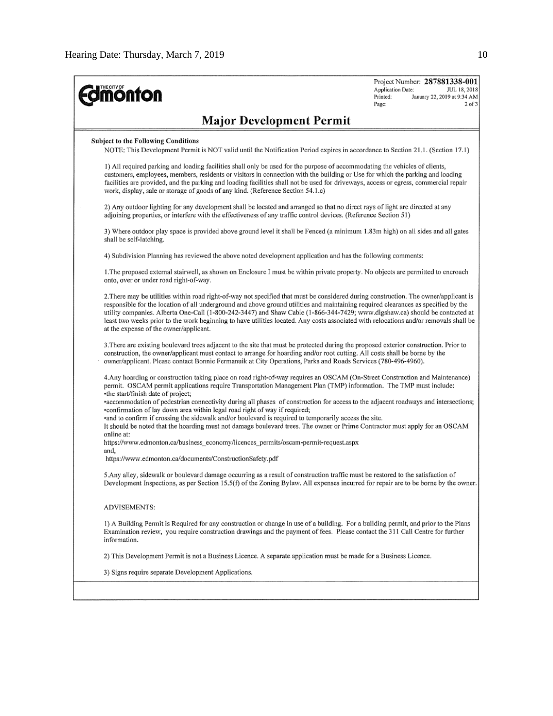| <b>mönton</b>                                                                                                                                                                                                                                                                                                                                                                                                                                                                                                                                                                                | Project Number: 287881338-001<br>Application Date:<br>JUL 18, 2018<br>Printed:<br>January 22, 2019 at 9:34 AM<br>Page:<br>$2$ of $3$ |
|----------------------------------------------------------------------------------------------------------------------------------------------------------------------------------------------------------------------------------------------------------------------------------------------------------------------------------------------------------------------------------------------------------------------------------------------------------------------------------------------------------------------------------------------------------------------------------------------|--------------------------------------------------------------------------------------------------------------------------------------|
| <b>Major Development Permit</b>                                                                                                                                                                                                                                                                                                                                                                                                                                                                                                                                                              |                                                                                                                                      |
| <b>Subject to the Following Conditions</b><br>NOTE: This Development Permit is NOT valid until the Notification Period expires in accordance to Section 21.1. (Section 17.1)                                                                                                                                                                                                                                                                                                                                                                                                                 |                                                                                                                                      |
| 1) All required parking and loading facilities shall only be used for the purpose of accommodating the vehicles of clients,<br>customers, employees, members, residents or visitors in connection with the building or Use for which the parking and loading<br>facilities are provided, and the parking and loading facilities shall not be used for driveways, access or egress, commercial repair<br>work, display, sale or storage of goods of any kind. (Reference Section 54.1.c)                                                                                                      |                                                                                                                                      |
| 2) Any outdoor lighting for any development shall be located and arranged so that no direct rays of light are directed at any<br>adjoining properties, or interfere with the effectiveness of any traffic control devices. (Reference Section 51)                                                                                                                                                                                                                                                                                                                                            |                                                                                                                                      |
| 3) Where outdoor play space is provided above ground level it shall be Fenced (a minimum 1.83m high) on all sides and all gates<br>shall be self-latching.                                                                                                                                                                                                                                                                                                                                                                                                                                   |                                                                                                                                      |
| 4) Subdivision Planning has reviewed the above noted development application and has the following comments:                                                                                                                                                                                                                                                                                                                                                                                                                                                                                 |                                                                                                                                      |
| 1. The proposed external stairwell, as shown on Enclosure I must be within private property. No objects are permitted to encroach<br>onto, over or under road right-of-way.                                                                                                                                                                                                                                                                                                                                                                                                                  |                                                                                                                                      |
| 2. There may be utilities within road right-of-way not specified that must be considered during construction. The owner/applicant is<br>responsible for the location of all underground and above ground utilities and maintaining required clearances as specified by the<br>utility companies. Alberta One-Call (1-800-242-3447) and Shaw Cable (1-866-344-7429; www.digshaw.ca) should be contacted at<br>least two weeks prior to the work beginning to have utilities located. Any costs associated with relocations and/or removals shall be<br>at the expense of the owner/applicant. |                                                                                                                                      |
| 3. There are existing boulevard trees adjacent to the site that must be protected during the proposed exterior construction. Prior to<br>construction, the owner/applicant must contact to arrange for hoarding and/or root cutting. All costs shall be borne by the<br>owner/applicant. Please contact Bonnie Fermanuik at City Operations, Parks and Roads Services (780-496-4960).                                                                                                                                                                                                        |                                                                                                                                      |
| 4. Any hoarding or construction taking place on road right-of-way requires an OSCAM (On-Street Construction and Maintenance)<br>permit. OSCAM permit applications require Transportation Management Plan (TMP) information. The TMP must include:<br>•the start/finish date of project;                                                                                                                                                                                                                                                                                                      |                                                                                                                                      |
| •accommodation of pedestrian connectivity during all phases of construction for access to the adjacent roadways and intersections;<br>•confirmation of lay down area within legal road right of way if required;<br>and to confirm if crossing the sidewalk and/or boulevard is required to temporarily access the site.<br>It should be noted that the hoarding must not damage boulevard trees. The owner or Prime Contractor must apply for an OSCAM                                                                                                                                      |                                                                                                                                      |
| online at:<br>https://www.edmonton.ca/business_economy/licences_permits/oscam-permit-request.aspx                                                                                                                                                                                                                                                                                                                                                                                                                                                                                            |                                                                                                                                      |
| and,<br>https://www.edmonton.ca/documents/ConstructionSafety.pdf                                                                                                                                                                                                                                                                                                                                                                                                                                                                                                                             |                                                                                                                                      |
| 5.Any alley, sidewalk or boulevard damage occurring as a result of construction traffic must be restored to the satisfaction of<br>Development Inspections, as per Section 15.5(f) of the Zoning Bylaw. All expenses incurred for repair are to be borne by the owner.                                                                                                                                                                                                                                                                                                                       |                                                                                                                                      |
| <b>ADVISEMENTS:</b>                                                                                                                                                                                                                                                                                                                                                                                                                                                                                                                                                                          |                                                                                                                                      |
| 1) A Building Permit is Required for any construction or change in use of a building. For a building permit, and prior to the Plans<br>Examination review, you require construction drawings and the payment of fees. Please contact the 311 Call Centre for further<br>information.                                                                                                                                                                                                                                                                                                         |                                                                                                                                      |
| 2) This Development Permit is not a Business Licence. A separate application must be made for a Business Licence.                                                                                                                                                                                                                                                                                                                                                                                                                                                                            |                                                                                                                                      |
| 3) Signs require separate Development Applications.                                                                                                                                                                                                                                                                                                                                                                                                                                                                                                                                          |                                                                                                                                      |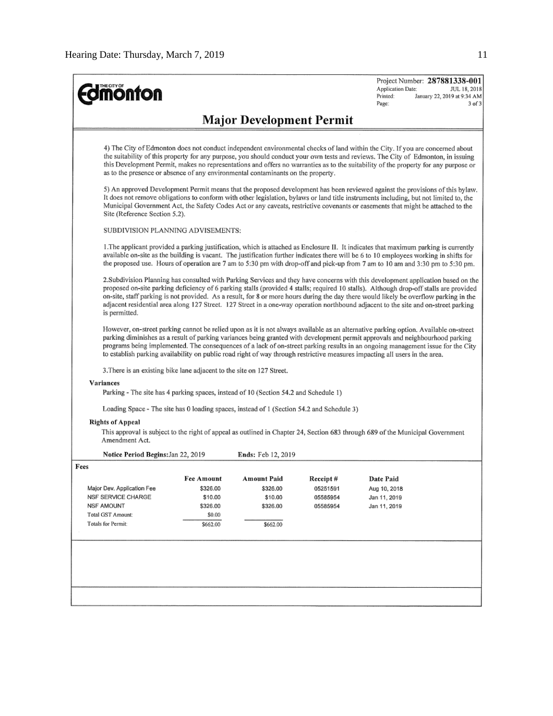| <b>monton</b>                                                                                                                                                                                                                                                                                                                                                                                                                                                                                 |                                                                                                                                                                                                                                                                                                                                                                                                                                                                                                                                                             |                    |          | Project Number: 287881338-001<br>Application Date:<br>JUL 18, 2018<br>Printed:<br>January 22, 2019 at 9:34 AM<br>Page:<br>$3$ of $3$                                                                                                                                                                                                                                                                                                                                                                                                    |  |  |  |  |
|-----------------------------------------------------------------------------------------------------------------------------------------------------------------------------------------------------------------------------------------------------------------------------------------------------------------------------------------------------------------------------------------------------------------------------------------------------------------------------------------------|-------------------------------------------------------------------------------------------------------------------------------------------------------------------------------------------------------------------------------------------------------------------------------------------------------------------------------------------------------------------------------------------------------------------------------------------------------------------------------------------------------------------------------------------------------------|--------------------|----------|-----------------------------------------------------------------------------------------------------------------------------------------------------------------------------------------------------------------------------------------------------------------------------------------------------------------------------------------------------------------------------------------------------------------------------------------------------------------------------------------------------------------------------------------|--|--|--|--|
| <b>Major Development Permit</b>                                                                                                                                                                                                                                                                                                                                                                                                                                                               |                                                                                                                                                                                                                                                                                                                                                                                                                                                                                                                                                             |                    |          |                                                                                                                                                                                                                                                                                                                                                                                                                                                                                                                                         |  |  |  |  |
| 4) The City of Edmonton does not conduct independent environmental checks of land within the City. If you are concerned about<br>the suitability of this property for any purpose, you should conduct your own tests and reviews. The City of Edmonton, in issuing<br>this Development Permit, makes no representations and offers no warranties as to the suitability of the property for any purpose or<br>as to the presence or absence of any environmental contaminants on the property. |                                                                                                                                                                                                                                                                                                                                                                                                                                                                                                                                                             |                    |          |                                                                                                                                                                                                                                                                                                                                                                                                                                                                                                                                         |  |  |  |  |
|                                                                                                                                                                                                                                                                                                                                                                                                                                                                                               | 5) An approved Development Permit means that the proposed development has been reviewed against the provisions of this bylaw.<br>It does not remove obligations to conform with other legislation, bylaws or land title instruments including, but not limited to, the<br>Municipal Government Act, the Safety Codes Act or any caveats, restrictive covenants or easements that might be attached to the<br>Site (Reference Section 5.2).                                                                                                                  |                    |          |                                                                                                                                                                                                                                                                                                                                                                                                                                                                                                                                         |  |  |  |  |
| SUBDIVISION PLANNING ADVISEMENTS:                                                                                                                                                                                                                                                                                                                                                                                                                                                             |                                                                                                                                                                                                                                                                                                                                                                                                                                                                                                                                                             |                    |          |                                                                                                                                                                                                                                                                                                                                                                                                                                                                                                                                         |  |  |  |  |
|                                                                                                                                                                                                                                                                                                                                                                                                                                                                                               |                                                                                                                                                                                                                                                                                                                                                                                                                                                                                                                                                             |                    |          | 1. The applicant provided a parking justification, which is attached as Enclosure II. It indicates that maximum parking is currently<br>available on-site as the building is vacant. The justification further indicates there will be 6 to 10 employees working in shifts for<br>the proposed use. Hours of operation are 7 am to 5:30 pm with drop-off and pick-up from 7 am to 10 am and 3:30 pm to 5:30 pm.                                                                                                                         |  |  |  |  |
| is permitted.                                                                                                                                                                                                                                                                                                                                                                                                                                                                                 | 2. Subdivision Planning has consulted with Parking Services and they have concerns with this development application based on the<br>proposed on-site parking deficiency of 6 parking stalls (provided 4 stalls; required 10 stalls). Although drop-off stalls are provided<br>on-site, staff parking is not provided. As a result, for 8 or more hours during the day there would likely be overflow parking in the<br>adjacent residential area along 127 Street. 127 Street in a one-way operation northbound adjacent to the site and on-street parking |                    |          |                                                                                                                                                                                                                                                                                                                                                                                                                                                                                                                                         |  |  |  |  |
|                                                                                                                                                                                                                                                                                                                                                                                                                                                                                               |                                                                                                                                                                                                                                                                                                                                                                                                                                                                                                                                                             |                    |          | However, on-street parking cannot be relied upon as it is not always available as an alternative parking option. Available on-street<br>parking diminishes as a result of parking variances being granted with development permit approvals and neighbourhood parking<br>programs being implemented. The consequences of a lack of on-street parking results in an ongoing management issue for the City<br>to establish parking availability on public road right of way through restrictive measures impacting all users in the area. |  |  |  |  |
| 3. There is an existing bike lane adjacent to the site on 127 Street.                                                                                                                                                                                                                                                                                                                                                                                                                         |                                                                                                                                                                                                                                                                                                                                                                                                                                                                                                                                                             |                    |          |                                                                                                                                                                                                                                                                                                                                                                                                                                                                                                                                         |  |  |  |  |
| Variances<br>Parking - The site has 4 parking spaces, instead of 10 (Section 54.2 and Schedule 1)                                                                                                                                                                                                                                                                                                                                                                                             |                                                                                                                                                                                                                                                                                                                                                                                                                                                                                                                                                             |                    |          |                                                                                                                                                                                                                                                                                                                                                                                                                                                                                                                                         |  |  |  |  |
|                                                                                                                                                                                                                                                                                                                                                                                                                                                                                               |                                                                                                                                                                                                                                                                                                                                                                                                                                                                                                                                                             |                    |          |                                                                                                                                                                                                                                                                                                                                                                                                                                                                                                                                         |  |  |  |  |
| Loading Space - The site has 0 loading spaces, instead of 1 (Section 54.2 and Schedule 3)                                                                                                                                                                                                                                                                                                                                                                                                     |                                                                                                                                                                                                                                                                                                                                                                                                                                                                                                                                                             |                    |          |                                                                                                                                                                                                                                                                                                                                                                                                                                                                                                                                         |  |  |  |  |
| <b>Rights of Appeal</b><br>Amendment Act.                                                                                                                                                                                                                                                                                                                                                                                                                                                     |                                                                                                                                                                                                                                                                                                                                                                                                                                                                                                                                                             |                    |          | This approval is subject to the right of appeal as outlined in Chapter 24, Section 683 through 689 of the Municipal Government                                                                                                                                                                                                                                                                                                                                                                                                          |  |  |  |  |
| Notice Period Begins: Jan 22, 2019                                                                                                                                                                                                                                                                                                                                                                                                                                                            |                                                                                                                                                                                                                                                                                                                                                                                                                                                                                                                                                             | Ends: Feb 12, 2019 |          |                                                                                                                                                                                                                                                                                                                                                                                                                                                                                                                                         |  |  |  |  |
| Fees                                                                                                                                                                                                                                                                                                                                                                                                                                                                                          |                                                                                                                                                                                                                                                                                                                                                                                                                                                                                                                                                             |                    |          |                                                                                                                                                                                                                                                                                                                                                                                                                                                                                                                                         |  |  |  |  |
|                                                                                                                                                                                                                                                                                                                                                                                                                                                                                               | Fee Amount                                                                                                                                                                                                                                                                                                                                                                                                                                                                                                                                                  | Amount Païd        | Receipt# | Date Paid                                                                                                                                                                                                                                                                                                                                                                                                                                                                                                                               |  |  |  |  |
| Major Dev. Application Fee                                                                                                                                                                                                                                                                                                                                                                                                                                                                    | \$326.00                                                                                                                                                                                                                                                                                                                                                                                                                                                                                                                                                    | \$326.00           | 05251591 | Aug 10, 2018                                                                                                                                                                                                                                                                                                                                                                                                                                                                                                                            |  |  |  |  |
| NSF SERVICE CHARGE                                                                                                                                                                                                                                                                                                                                                                                                                                                                            | \$10.00                                                                                                                                                                                                                                                                                                                                                                                                                                                                                                                                                     | \$10.00            | 05585954 | Jan 11, 2019                                                                                                                                                                                                                                                                                                                                                                                                                                                                                                                            |  |  |  |  |
| NSF AMOUNT<br>Total GST Amount:                                                                                                                                                                                                                                                                                                                                                                                                                                                               | \$326.00                                                                                                                                                                                                                                                                                                                                                                                                                                                                                                                                                    | \$326.00           | 05585954 | Jan 11, 2019                                                                                                                                                                                                                                                                                                                                                                                                                                                                                                                            |  |  |  |  |
| Totals for Permit:                                                                                                                                                                                                                                                                                                                                                                                                                                                                            | \$0.00                                                                                                                                                                                                                                                                                                                                                                                                                                                                                                                                                      |                    |          |                                                                                                                                                                                                                                                                                                                                                                                                                                                                                                                                         |  |  |  |  |
|                                                                                                                                                                                                                                                                                                                                                                                                                                                                                               | \$662.00                                                                                                                                                                                                                                                                                                                                                                                                                                                                                                                                                    | \$662.00           |          |                                                                                                                                                                                                                                                                                                                                                                                                                                                                                                                                         |  |  |  |  |
|                                                                                                                                                                                                                                                                                                                                                                                                                                                                                               |                                                                                                                                                                                                                                                                                                                                                                                                                                                                                                                                                             |                    |          |                                                                                                                                                                                                                                                                                                                                                                                                                                                                                                                                         |  |  |  |  |
|                                                                                                                                                                                                                                                                                                                                                                                                                                                                                               |                                                                                                                                                                                                                                                                                                                                                                                                                                                                                                                                                             |                    |          |                                                                                                                                                                                                                                                                                                                                                                                                                                                                                                                                         |  |  |  |  |
|                                                                                                                                                                                                                                                                                                                                                                                                                                                                                               |                                                                                                                                                                                                                                                                                                                                                                                                                                                                                                                                                             |                    |          |                                                                                                                                                                                                                                                                                                                                                                                                                                                                                                                                         |  |  |  |  |
|                                                                                                                                                                                                                                                                                                                                                                                                                                                                                               |                                                                                                                                                                                                                                                                                                                                                                                                                                                                                                                                                             |                    |          |                                                                                                                                                                                                                                                                                                                                                                                                                                                                                                                                         |  |  |  |  |
|                                                                                                                                                                                                                                                                                                                                                                                                                                                                                               |                                                                                                                                                                                                                                                                                                                                                                                                                                                                                                                                                             |                    |          |                                                                                                                                                                                                                                                                                                                                                                                                                                                                                                                                         |  |  |  |  |
|                                                                                                                                                                                                                                                                                                                                                                                                                                                                                               |                                                                                                                                                                                                                                                                                                                                                                                                                                                                                                                                                             |                    |          |                                                                                                                                                                                                                                                                                                                                                                                                                                                                                                                                         |  |  |  |  |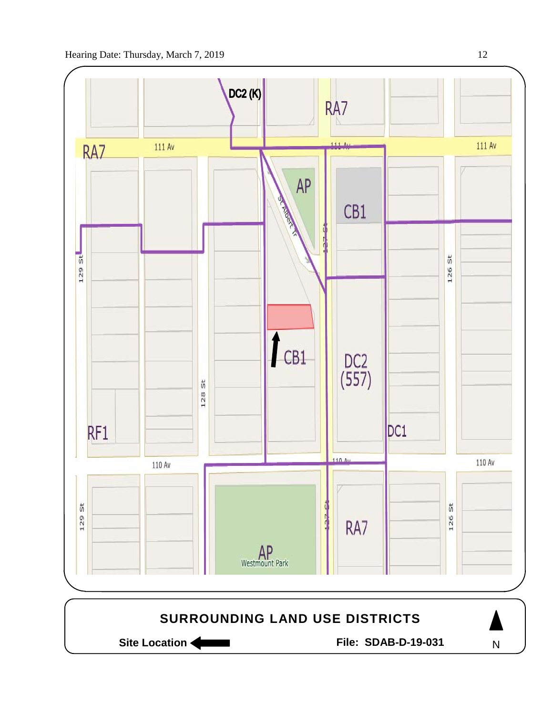

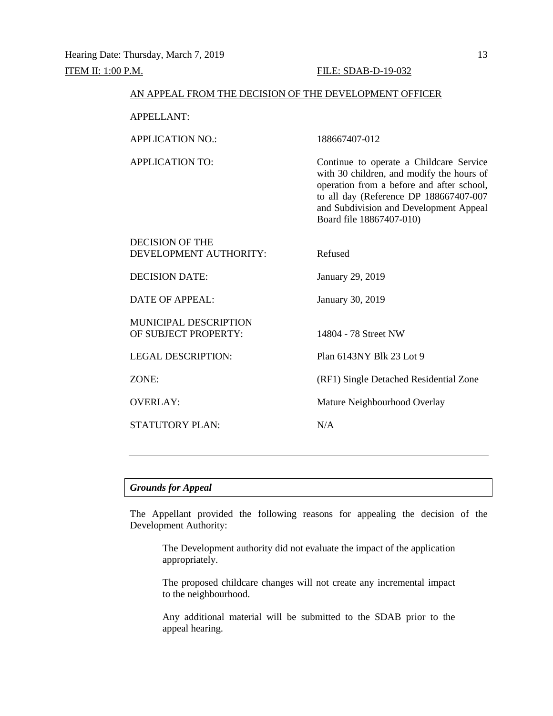#### AN APPEAL FROM THE DECISION OF THE DEVELOPMENT OFFICER

APPELLANT:

APPLICATION NO.: 188667407-012

APPLICATION TO: Continue to operate a Childcare Service with 30 children, and modify the hours of operation from a before and after school, to all day (Reference DP 188667407-007 and Subdivision and Development Appeal Board file 18867407-010)

| <b>DECISION OF THE</b><br>DEVELOPMENT AUTHORITY:     | Refused                                |
|------------------------------------------------------|----------------------------------------|
| <b>DECISION DATE:</b>                                | January 29, 2019                       |
| DATE OF APPEAL:                                      | January 30, 2019                       |
| <b>MUNICIPAL DESCRIPTION</b><br>OF SUBJECT PROPERTY: | 14804 - 78 Street NW                   |
| <b>LEGAL DESCRIPTION:</b>                            | Plan 6143NY Blk 23 Lot 9               |
| ZONE:                                                | (RF1) Single Detached Residential Zone |
| <b>OVERLAY:</b>                                      | Mature Neighbourhood Overlay           |
| <b>STATUTORY PLAN:</b>                               | N/A                                    |
|                                                      |                                        |

## *Grounds for Appeal*

The Appellant provided the following reasons for appealing the decision of the Development Authority:

The Development authority did not evaluate the impact of the application appropriately.

The proposed childcare changes will not create any incremental impact to the neighbourhood.

Any additional material will be submitted to the SDAB prior to the appeal hearing.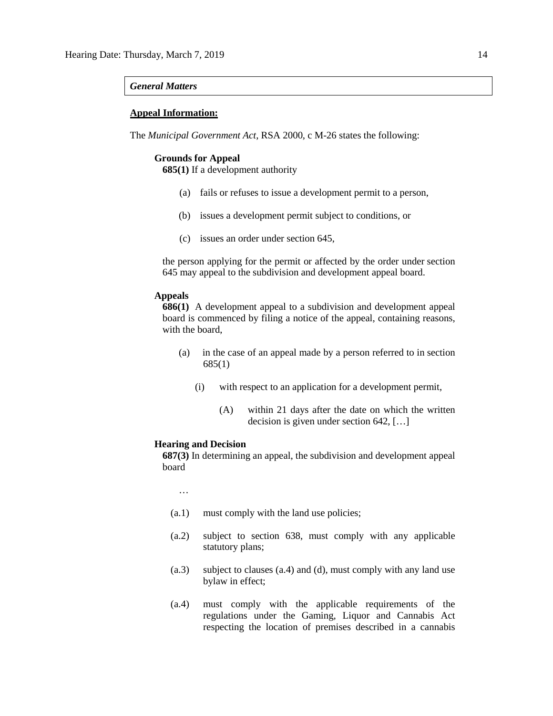#### *General Matters*

#### **Appeal Information:**

The *Municipal Government Act*, RSA 2000, c M-26 states the following:

#### **Grounds for Appeal**

**685(1)** If a development authority

- (a) fails or refuses to issue a development permit to a person,
- (b) issues a development permit subject to conditions, or
- (c) issues an order under section 645,

the person applying for the permit or affected by the order under section 645 may appeal to the subdivision and development appeal board.

#### **Appeals**

**686(1)** A development appeal to a subdivision and development appeal board is commenced by filing a notice of the appeal, containing reasons, with the board,

- (a) in the case of an appeal made by a person referred to in section 685(1)
	- (i) with respect to an application for a development permit,
		- (A) within 21 days after the date on which the written decision is given under section 642, […]

#### **Hearing and Decision**

**687(3)** In determining an appeal, the subdivision and development appeal board

…

- (a.1) must comply with the land use policies;
- (a.2) subject to section 638, must comply with any applicable statutory plans;
- (a.3) subject to clauses (a.4) and (d), must comply with any land use bylaw in effect;
- (a.4) must comply with the applicable requirements of the regulations under the Gaming, Liquor and Cannabis Act respecting the location of premises described in a cannabis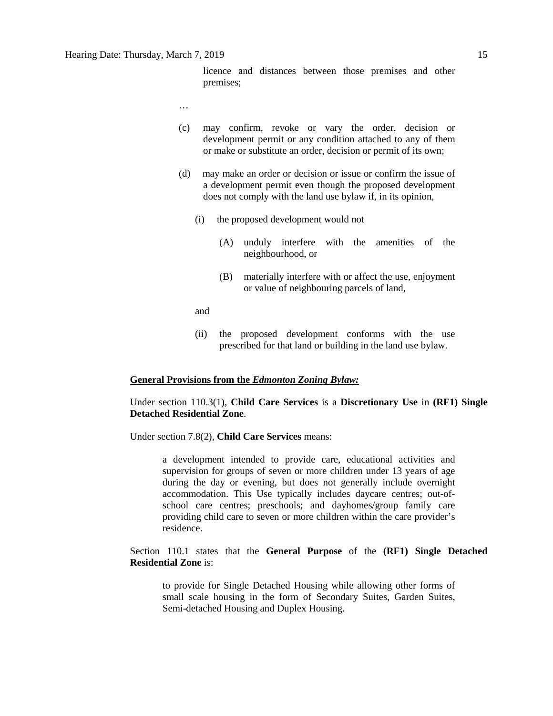licence and distances between those premises and other premises;

- …
- (c) may confirm, revoke or vary the order, decision or development permit or any condition attached to any of them or make or substitute an order, decision or permit of its own;
- (d) may make an order or decision or issue or confirm the issue of a development permit even though the proposed development does not comply with the land use bylaw if, in its opinion,
	- (i) the proposed development would not
		- (A) unduly interfere with the amenities of the neighbourhood, or
		- (B) materially interfere with or affect the use, enjoyment or value of neighbouring parcels of land,

and

(ii) the proposed development conforms with the use prescribed for that land or building in the land use bylaw.

#### **General Provisions from the** *Edmonton Zoning Bylaw:*

Under section 110.3(1), **Child Care Services** is a **Discretionary Use** in **(RF1) Single Detached Residential Zone**.

Under section 7.8(2), **Child Care Services** means:

a development intended to provide care, educational activities and supervision for groups of seven or more children under 13 years of age during the day or evening, but does not generally include overnight accommodation. This Use typically includes daycare centres; out-ofschool care centres; preschools; and dayhomes/group family care providing child care to seven or more children within the care provider's residence.

Section 110.1 states that the **General Purpose** of the **(RF1) Single Detached Residential Zone** is:

to provide for Single Detached Housing while allowing other forms of small scale housing in the form of Secondary Suites, Garden Suites, Semi-detached Housing and Duplex Housing.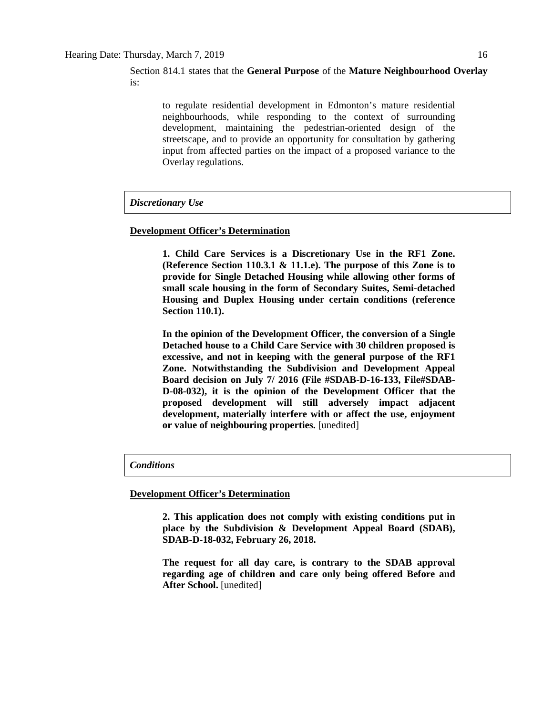Section 814.1 states that the **General Purpose** of the **Mature Neighbourhood Overlay** is:

to regulate residential development in Edmonton's mature residential neighbourhoods, while responding to the context of surrounding development, maintaining the pedestrian-oriented design of the streetscape, and to provide an opportunity for consultation by gathering input from affected parties on the impact of a proposed variance to the Overlay regulations.

#### *Discretionary Use*

#### **Development Officer's Determination**

**1. Child Care Services is a Discretionary Use in the RF1 Zone. (Reference Section 110.3.1 & 11.1.e). The purpose of this Zone is to provide for Single Detached Housing while allowing other forms of small scale housing in the form of Secondary Suites, Semi-detached Housing and Duplex Housing under certain conditions (reference Section 110.1).** 

**In the opinion of the Development Officer, the conversion of a Single Detached house to a Child Care Service with 30 children proposed is excessive, and not in keeping with the general purpose of the RF1 Zone. Notwithstanding the Subdivision and Development Appeal Board decision on July 7/ 2016 (File #SDAB-D-16-133, File#SDAB-D-08-032), it is the opinion of the Development Officer that the proposed development will still adversely impact adjacent development, materially interfere with or affect the use, enjoyment or value of neighbouring properties.** [unedited]

#### *Conditions*

**Development Officer's Determination**

**2. This application does not comply with existing conditions put in place by the Subdivision & Development Appeal Board (SDAB), SDAB-D-18-032, February 26, 2018.** 

**The request for all day care, is contrary to the SDAB approval regarding age of children and care only being offered Before and After School.** [unedited]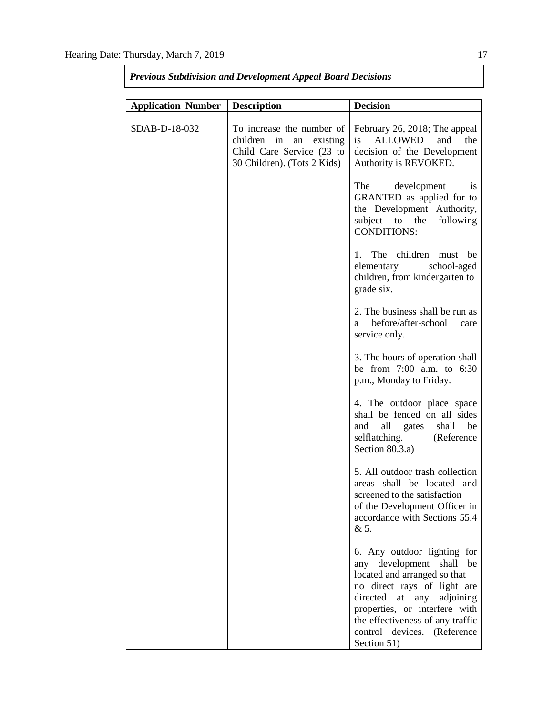| <b>Application Number</b> | <b>Description</b>                                                                                               | <b>Decision</b>                                                                                                                                                                                                                                                           |  |  |
|---------------------------|------------------------------------------------------------------------------------------------------------------|---------------------------------------------------------------------------------------------------------------------------------------------------------------------------------------------------------------------------------------------------------------------------|--|--|
| SDAB-D-18-032             | To increase the number of<br>children in an existing<br>Child Care Service (23 to<br>30 Children). (Tots 2 Kids) | February 26, 2018; The appeal<br>ALLOWED<br>is<br>and<br>the<br>decision of the Development<br>Authority is REVOKED.                                                                                                                                                      |  |  |
|                           |                                                                                                                  | The<br>development<br><sup>is</sup><br>GRANTED as applied for to<br>the Development Authority,<br>subject to the<br>following<br><b>CONDITIONS:</b>                                                                                                                       |  |  |
|                           |                                                                                                                  | The children<br>be<br>1.<br>must<br>elementary<br>school-aged<br>children, from kindergarten to<br>grade six.                                                                                                                                                             |  |  |
|                           |                                                                                                                  | 2. The business shall be run as<br>before/after-school<br>a<br>care<br>service only.                                                                                                                                                                                      |  |  |
|                           |                                                                                                                  | 3. The hours of operation shall<br>be from 7:00 a.m. to 6:30<br>p.m., Monday to Friday.                                                                                                                                                                                   |  |  |
|                           |                                                                                                                  | 4. The outdoor place space<br>shall be fenced on all sides<br>all gates<br>and<br>shall<br>be<br>selflatching.<br>(Reference<br>Section 80.3.a)                                                                                                                           |  |  |
|                           |                                                                                                                  | 5. All outdoor trash collection<br>shall be located and<br>areas<br>screened to the satisfaction<br>of the Development Officer in<br>accordance with Sections 55.4<br>& 5.                                                                                                |  |  |
|                           |                                                                                                                  | 6. Any outdoor lighting for<br>any development shall be<br>located and arranged so that<br>no direct rays of light are<br>directed<br>at any adjoining<br>properties, or interfere with<br>the effectiveness of any traffic<br>control devices. (Reference<br>Section 51) |  |  |

*Previous Subdivision and Development Appeal Board Decisions*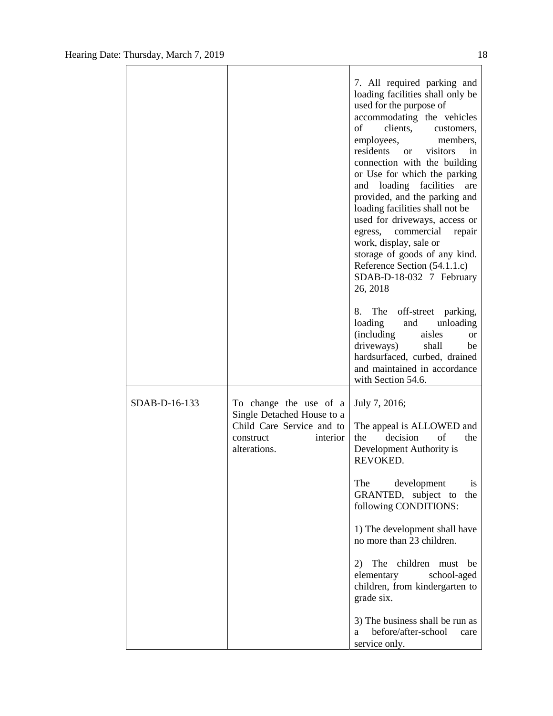|               |                                                                                                                            | 7. All required parking and<br>loading facilities shall only be<br>used for the purpose of<br>accommodating the vehicles<br>clients,<br>of<br>customers,<br>employees,<br>members,<br>residents<br>visitors<br><sub>or</sub><br>in<br>connection with the building<br>or Use for which the parking<br>and loading facilities<br>are<br>provided, and the parking and<br>loading facilities shall not be<br>used for driveways, access or<br>commercial<br>egress,<br>repair<br>work, display, sale or<br>storage of goods of any kind.<br>Reference Section (54.1.1.c)<br>SDAB-D-18-032 7 February<br>26, 2018<br>The off-street parking,<br>8.<br>loading<br>unloading<br>and<br><i>(including)</i><br>aisles<br>or<br>driveways)<br>shall<br>be<br>hardsurfaced, curbed, drained<br>and maintained in accordance<br>with Section 54.6. |
|---------------|----------------------------------------------------------------------------------------------------------------------------|------------------------------------------------------------------------------------------------------------------------------------------------------------------------------------------------------------------------------------------------------------------------------------------------------------------------------------------------------------------------------------------------------------------------------------------------------------------------------------------------------------------------------------------------------------------------------------------------------------------------------------------------------------------------------------------------------------------------------------------------------------------------------------------------------------------------------------------|
| SDAB-D-16-133 | To change the use of a<br>Single Detached House to a<br>Child Care Service and to<br>interior<br>construct<br>alterations. | July 7, 2016;<br>The appeal is ALLOWED and<br>decision<br>of<br>the<br>the<br>Development Authority is<br>REVOKED.<br>The<br>development<br><sub>is</sub><br>GRANTED, subject to<br>the<br>following CONDITIONS:<br>1) The development shall have<br>no more than 23 children.<br>The children must<br>2)<br>be<br>elementary<br>school-aged<br>children, from kindergarten to<br>grade six.<br>3) The business shall be run as                                                                                                                                                                                                                                                                                                                                                                                                          |
|               |                                                                                                                            | before/after-school<br>a<br>care<br>service only.                                                                                                                                                                                                                                                                                                                                                                                                                                                                                                                                                                                                                                                                                                                                                                                        |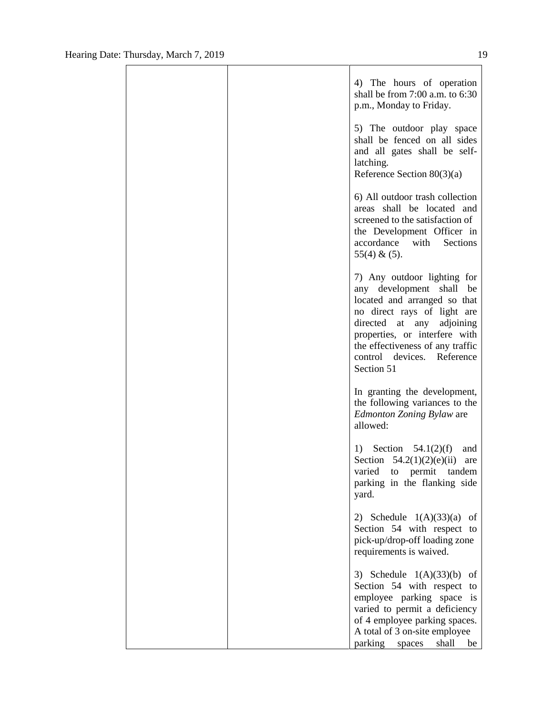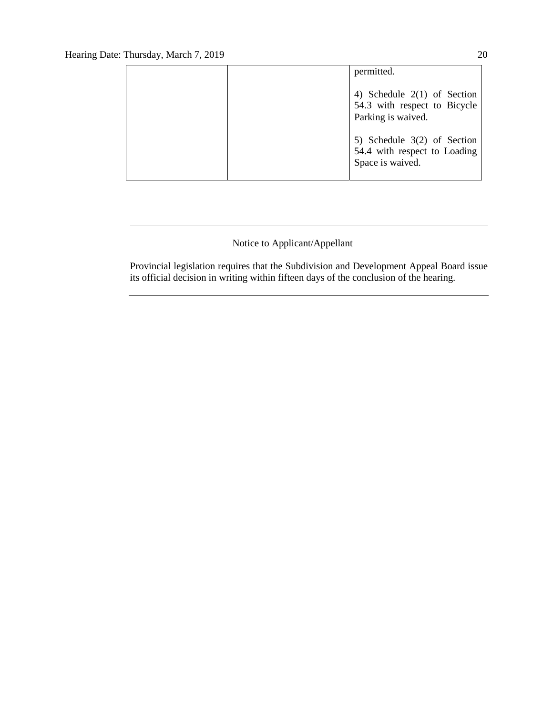|  | permitted.                                                                          |
|--|-------------------------------------------------------------------------------------|
|  | 4) Schedule $2(1)$ of Section<br>54.3 with respect to Bicycle<br>Parking is waived. |
|  | 5) Schedule $3(2)$ of Section<br>54.4 with respect to Loading<br>Space is waived.   |

# Notice to Applicant/Appellant

Provincial legislation requires that the Subdivision and Development Appeal Board issue its official decision in writing within fifteen days of the conclusion of the hearing.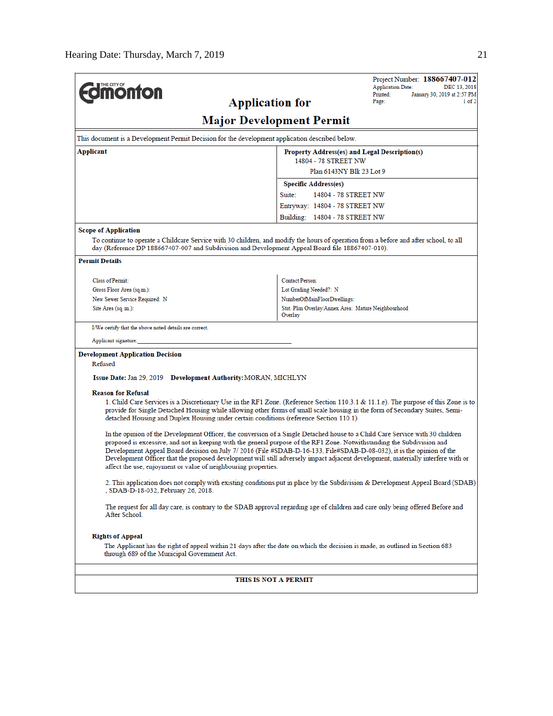| <b>Inchronom</b>                                                                                                                                                                                                                                                                                                                                                                                                                                                                                                                                                                       | Project Number: 188667407-012<br><b>Application Date:</b><br>DEC 13, 2018                                                                                                                                                                                           |  |  |  |  |  |
|----------------------------------------------------------------------------------------------------------------------------------------------------------------------------------------------------------------------------------------------------------------------------------------------------------------------------------------------------------------------------------------------------------------------------------------------------------------------------------------------------------------------------------------------------------------------------------------|---------------------------------------------------------------------------------------------------------------------------------------------------------------------------------------------------------------------------------------------------------------------|--|--|--|--|--|
| <b>Application for</b>                                                                                                                                                                                                                                                                                                                                                                                                                                                                                                                                                                 | Printed:<br>January 30, 2019 at 2:57 PM<br>Page:<br>1 of 2                                                                                                                                                                                                          |  |  |  |  |  |
|                                                                                                                                                                                                                                                                                                                                                                                                                                                                                                                                                                                        |                                                                                                                                                                                                                                                                     |  |  |  |  |  |
|                                                                                                                                                                                                                                                                                                                                                                                                                                                                                                                                                                                        | <b>Major Development Permit</b>                                                                                                                                                                                                                                     |  |  |  |  |  |
| This document is a Development Permit Decision for the development application described below.                                                                                                                                                                                                                                                                                                                                                                                                                                                                                        |                                                                                                                                                                                                                                                                     |  |  |  |  |  |
| Applicant<br>Property Address(es) and Legal Description(s)<br>14804 - 78 STREET NW                                                                                                                                                                                                                                                                                                                                                                                                                                                                                                     |                                                                                                                                                                                                                                                                     |  |  |  |  |  |
| Plan 6143NY Blk 23 Lot 9                                                                                                                                                                                                                                                                                                                                                                                                                                                                                                                                                               |                                                                                                                                                                                                                                                                     |  |  |  |  |  |
|                                                                                                                                                                                                                                                                                                                                                                                                                                                                                                                                                                                        | <b>Specific Address(es)</b>                                                                                                                                                                                                                                         |  |  |  |  |  |
|                                                                                                                                                                                                                                                                                                                                                                                                                                                                                                                                                                                        | Suite:<br>14804 - 78 STREET NW                                                                                                                                                                                                                                      |  |  |  |  |  |
|                                                                                                                                                                                                                                                                                                                                                                                                                                                                                                                                                                                        | Entryway: 14804 - 78 STREET NW                                                                                                                                                                                                                                      |  |  |  |  |  |
|                                                                                                                                                                                                                                                                                                                                                                                                                                                                                                                                                                                        | Building: 14804 - 78 STREET NW                                                                                                                                                                                                                                      |  |  |  |  |  |
| <b>Scope of Application</b>                                                                                                                                                                                                                                                                                                                                                                                                                                                                                                                                                            |                                                                                                                                                                                                                                                                     |  |  |  |  |  |
| day (Reference DP 188667407-007 and Subdivision and Development Appeal Board file 18867407-010).                                                                                                                                                                                                                                                                                                                                                                                                                                                                                       | To continue to operate a Childcare Service with 30 children, and modify the hours of operation from a before and after school, to all                                                                                                                               |  |  |  |  |  |
| <b>Permit Details</b>                                                                                                                                                                                                                                                                                                                                                                                                                                                                                                                                                                  |                                                                                                                                                                                                                                                                     |  |  |  |  |  |
| Class of Permit:                                                                                                                                                                                                                                                                                                                                                                                                                                                                                                                                                                       | <b>Contact Person:</b>                                                                                                                                                                                                                                              |  |  |  |  |  |
| Gross Floor Area (sq.m.):                                                                                                                                                                                                                                                                                                                                                                                                                                                                                                                                                              | Lot Grading Needed?: N                                                                                                                                                                                                                                              |  |  |  |  |  |
| New Sewer Service Required: N                                                                                                                                                                                                                                                                                                                                                                                                                                                                                                                                                          | NumberOfMainFloorDwellings:                                                                                                                                                                                                                                         |  |  |  |  |  |
| Site Area (sq. m.):                                                                                                                                                                                                                                                                                                                                                                                                                                                                                                                                                                    | Stat. Plan Overlay/Annex Area: Mature Neighbourhood<br>Overlay                                                                                                                                                                                                      |  |  |  |  |  |
| I/We certify that the above noted details are correct.                                                                                                                                                                                                                                                                                                                                                                                                                                                                                                                                 |                                                                                                                                                                                                                                                                     |  |  |  |  |  |
| Applicant signature:                                                                                                                                                                                                                                                                                                                                                                                                                                                                                                                                                                   |                                                                                                                                                                                                                                                                     |  |  |  |  |  |
| <b>Development Application Decision</b>                                                                                                                                                                                                                                                                                                                                                                                                                                                                                                                                                |                                                                                                                                                                                                                                                                     |  |  |  |  |  |
| Refused                                                                                                                                                                                                                                                                                                                                                                                                                                                                                                                                                                                |                                                                                                                                                                                                                                                                     |  |  |  |  |  |
| Issue Date: Jan 29, 2019 Development Authority: MORAN, MICHLYN                                                                                                                                                                                                                                                                                                                                                                                                                                                                                                                         |                                                                                                                                                                                                                                                                     |  |  |  |  |  |
| <b>Reason for Refusal</b>                                                                                                                                                                                                                                                                                                                                                                                                                                                                                                                                                              |                                                                                                                                                                                                                                                                     |  |  |  |  |  |
| detached Housing and Duplex Housing under certain conditions (reference Section 110.1).                                                                                                                                                                                                                                                                                                                                                                                                                                                                                                | 1. Child Care Services is a Discretionary Use in the RF1 Zone. (Reference Section 110.3.1 & 11.1.e). The purpose of this Zone is to<br>provide for Single Detached Housing while allowing other forms of small scale housing in the form of Secondary Suites, Semi- |  |  |  |  |  |
| In the opinion of the Development Officer, the conversion of a Single Detached house to a Child Care Service with 30 children<br>proposed is excessive, and not in keeping with the general purpose of the RF1 Zone. Notwithstanding the Subdivision and<br>Development Appeal Board decision on July 7/2016 (File #SDAB-D-16-133, File#SDAB-D-08-032), it is the opinion of the<br>Development Officer that the proposed development will still adversely impact adjacent development, materially interfere with or<br>affect the use, enjoyment or value of neighbouring properties. |                                                                                                                                                                                                                                                                     |  |  |  |  |  |
| SDAB-D-18-032, February 26, 2018.                                                                                                                                                                                                                                                                                                                                                                                                                                                                                                                                                      | 2. This application does not comply with existing conditions put in place by the Subdivision & Development Appeal Board (SDAB)                                                                                                                                      |  |  |  |  |  |
| The request for all day care, is contrary to the SDAB approval regarding age of children and care only being offered Before and<br>After School.                                                                                                                                                                                                                                                                                                                                                                                                                                       |                                                                                                                                                                                                                                                                     |  |  |  |  |  |
| <b>Rights of Appeal</b>                                                                                                                                                                                                                                                                                                                                                                                                                                                                                                                                                                |                                                                                                                                                                                                                                                                     |  |  |  |  |  |
| The Applicant has the right of appeal within 21 days after the date on which the decision is made, as outlined in Section 683<br>through 689 of the Municipal Government Act.                                                                                                                                                                                                                                                                                                                                                                                                          |                                                                                                                                                                                                                                                                     |  |  |  |  |  |
| THIS IS NOT A PERMIT                                                                                                                                                                                                                                                                                                                                                                                                                                                                                                                                                                   |                                                                                                                                                                                                                                                                     |  |  |  |  |  |
|                                                                                                                                                                                                                                                                                                                                                                                                                                                                                                                                                                                        |                                                                                                                                                                                                                                                                     |  |  |  |  |  |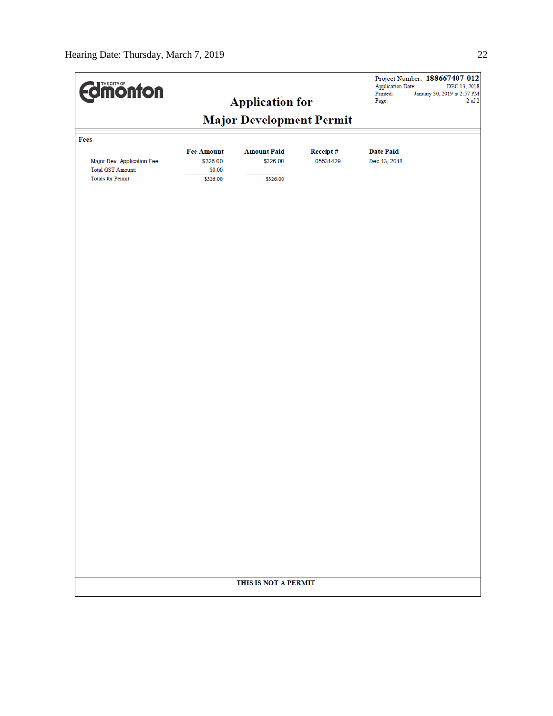| <b>Edimonton</b>           | <b>Application for</b><br><b>Major Development Permit</b> |                      |          | Project Number: 188667407-012<br><b>Application Date:</b><br>DEC 13, 2018<br>Printed:<br>January 30, 2019 at 2:57 PM<br>$2$ of $2$<br>Page: |  |
|----------------------------|-----------------------------------------------------------|----------------------|----------|---------------------------------------------------------------------------------------------------------------------------------------------|--|
|                            |                                                           |                      |          |                                                                                                                                             |  |
| Fees                       |                                                           |                      |          |                                                                                                                                             |  |
|                            | <b>Fee Amount</b>                                         | <b>Amount Paid</b>   | Receipt# | <b>Date Paid</b>                                                                                                                            |  |
| Major Dev. Application Fee | \$326.00                                                  | \$326.00             | 05531429 | Dec 13, 2018                                                                                                                                |  |
| <b>Total GST Amount:</b>   | \$0.00                                                    |                      |          |                                                                                                                                             |  |
| <b>Totals for Permit:</b>  | \$326.00                                                  | \$326.00             |          |                                                                                                                                             |  |
|                            |                                                           |                      |          |                                                                                                                                             |  |
|                            |                                                           |                      |          |                                                                                                                                             |  |
|                            |                                                           |                      |          |                                                                                                                                             |  |
|                            |                                                           |                      |          |                                                                                                                                             |  |
|                            |                                                           |                      |          |                                                                                                                                             |  |
|                            |                                                           |                      |          |                                                                                                                                             |  |
|                            |                                                           |                      |          |                                                                                                                                             |  |
|                            |                                                           |                      |          |                                                                                                                                             |  |
|                            |                                                           |                      |          |                                                                                                                                             |  |
|                            |                                                           |                      |          |                                                                                                                                             |  |
|                            |                                                           |                      |          |                                                                                                                                             |  |
|                            |                                                           |                      |          |                                                                                                                                             |  |
|                            |                                                           |                      |          |                                                                                                                                             |  |
|                            |                                                           |                      |          |                                                                                                                                             |  |
|                            |                                                           |                      |          |                                                                                                                                             |  |
|                            |                                                           |                      |          |                                                                                                                                             |  |
|                            |                                                           |                      |          |                                                                                                                                             |  |
|                            |                                                           |                      |          |                                                                                                                                             |  |
|                            |                                                           |                      |          |                                                                                                                                             |  |
|                            |                                                           |                      |          |                                                                                                                                             |  |
|                            |                                                           | THIS IS NOT A PERMIT |          |                                                                                                                                             |  |
|                            |                                                           |                      |          |                                                                                                                                             |  |